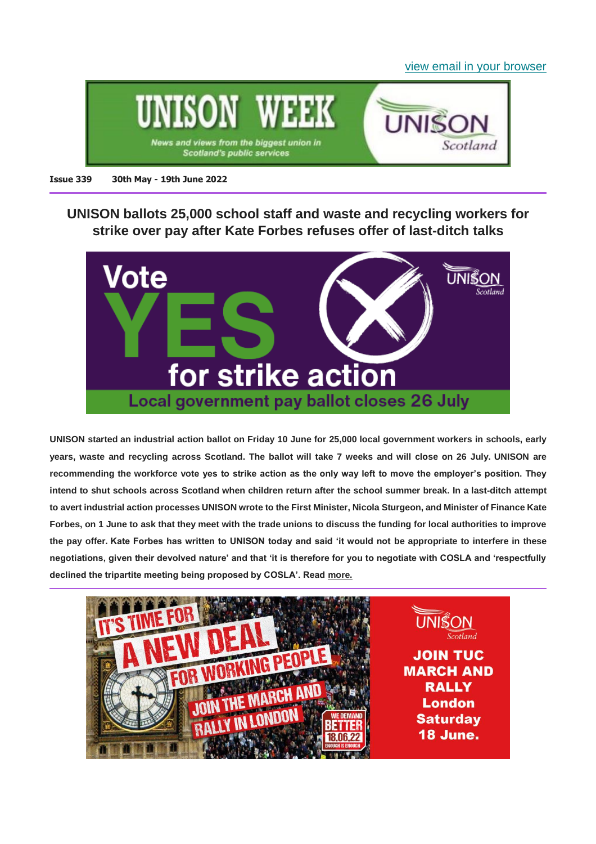[view email in your browser](https://mailchi.mp/ef9619806621/unison-week-339-local-govt-industrial-action-ballot-demanding-better-spending-review-comments-more?e=6345b859c4)



#### **Issue 339 30th May - 19th June 2022**

**UNISON ballots 25,000 school staff and waste and recycling workers for strike over pay after Kate Forbes refuses offer of last-ditch talks**



**UNISON started an industrial action ballot on Friday 10 June for 25,000 local government workers in schools, early years, waste and recycling across Scotland. The ballot will take 7 weeks and will close on 26 July. UNISON are recommending the workforce vote yes to strike action as the only way left to move the employer's position. They intend to shut schools across Scotland when children return after the school summer break. In a last-ditch attempt to avert industrial action processes UNISON wrote to the First Minister, Nicola Sturgeon, and Minister of Finance Kate Forbes, on 1 June to ask that they meet with the trade unions to discuss the funding for local authorities to improve the pay offer. Kate Forbes has written to UNISON today and said 'it would not be appropriate to interfere in these negotiations, given their devolved nature' and that 'it is therefore for you to negotiate with COSLA and 'respectfully declined the tripartite meeting being proposed by COSLA'. Read [more.](https://unison-scotland.org/unison-to-ballot-25000-school-staff-and-waste-and-recycling-workers-for-strike-over-pay-tomorrow-after-kate-forbes-refuses-offer-of-last-ditch-talks/)**

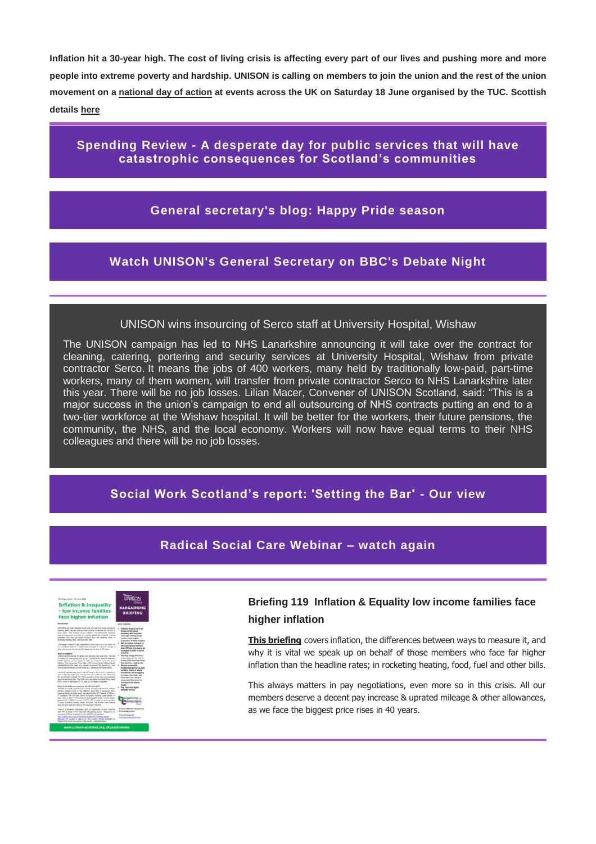**Inflation hit a 30-year high. The cost of living crisis is affecting every part of our lives and pushing more and more people into extreme poverty and hardship. UNISON is calling on members to join the union and the rest of the union movement on a [national day of action](https://www.unison.org.uk/events/tuc-national-demonstration/) at events across the UK on Saturday 18 June organised by the TUC. Scottish details [here](https://unison-scotland.org/demand-better-18th-june-in-london/)**

**Spending Review - [A desperate day for public services that will have](https://unison-scotland.org/this-is-a-desperate-day-for-public-services-that-will-have-catastrophic-consequences-for-scotlands-communities-says-unison/)  [catastrophic consequences for Scotland's communities](https://unison-scotland.org/this-is-a-desperate-day-for-public-services-that-will-have-catastrophic-consequences-for-scotlands-communities-says-unison/)**

# **[General secretary's blog: Happy Pride season](https://www.unison.org.uk/news/2022/06/blog-happy-pride-season/)**

# **[Watch UNISON's General Secretary on BBC's Debate Night](https://www.bbc.co.uk/programmes/m0017yyw)**

#### UNISON wins insourcing of Serco staff at University Hospital, Wishaw

The UNISON campaign has led to NHS Lanarkshire announcing it will take over the contract for cleaning, catering, portering and security services at University Hospital, Wishaw from private contractor Serco. It means the jobs of 400 workers, many held by traditionally low-paid, part-time workers, many of them women, will transfer from private contractor Serco to NHS Lanarkshire later this year. There will be no job losses. Lilian Macer, Convener of UNISON Scotland, said: "This is a major success in the union's campaign to end all outsourcing of NHS contracts putting an end to a two-tier workforce at the Wishaw hospital. It will be better for the workers, their future pensions, the community, the NHS, and the local economy. Workers will now have equal terms to their NHS colleagues and there will be no job losses.

#### **[Social Work Scotland's report: 'Setting the Bar' -](https://unison-scotland.org/unison-comment-on-social-work-scotlands-report-setting-the-bar/) Our view**

#### **[Radical Social Care Webinar –](https://unison-scotland.org/radical-social-care-webinar-watch-again/) watch again**

| <b>Briefing number 119 June 2020</b><br><b>Inflation &amp; inequality</b><br>- low income families<br>face higher inflation                                                                                                                                                                                                                                                                                                                                                                                                                                                                                                                                                                                                                                                                                                                                                                                                                                                                                                                                                                                                                                                                                                                                                                                                                                                                                                                                                      | <b>UNISON</b><br><b>BARGAINING</b><br><b>BRIEFING</b>                                                                                                                                                                                                                                                                                                                                                                                                                                                                                                                                                                                                                                                               |
|----------------------------------------------------------------------------------------------------------------------------------------------------------------------------------------------------------------------------------------------------------------------------------------------------------------------------------------------------------------------------------------------------------------------------------------------------------------------------------------------------------------------------------------------------------------------------------------------------------------------------------------------------------------------------------------------------------------------------------------------------------------------------------------------------------------------------------------------------------------------------------------------------------------------------------------------------------------------------------------------------------------------------------------------------------------------------------------------------------------------------------------------------------------------------------------------------------------------------------------------------------------------------------------------------------------------------------------------------------------------------------------------------------------------------------------------------------------------------------|---------------------------------------------------------------------------------------------------------------------------------------------------------------------------------------------------------------------------------------------------------------------------------------------------------------------------------------------------------------------------------------------------------------------------------------------------------------------------------------------------------------------------------------------------------------------------------------------------------------------------------------------------------------------------------------------------------------------|
| <b><i><u>Radio Gold and River</u></i></b>                                                                                                                                                                                                                                                                                                                                                                                                                                                                                                                                                                                                                                                                                                                                                                                                                                                                                                                                                                                                                                                                                                                                                                                                                                                                                                                                                                                                                                        | <b>SEE POINTS:</b>                                                                                                                                                                                                                                                                                                                                                                                                                                                                                                                                                                                                                                                                                                  |
| UNITEDN'S four paint chambers system only title work hims track cytole and<br>assing, gives they are energ mass untarty for hardest by the energy<br>living crisis. This telefold crivers infinitely the differenced between<br>searchs measure it, and why his visit we speak up on behalf of those<br>mentions who have he region entered them the feasible rates, in<br>rocketing/healing, fixed, Sail and other falls.<br>This always makers in one regulations, even more activ this plan. All<br>our markers deserve a detert pay increase & sprayer mileage &<br>other addeparents, as not have the highest price there in 40 years.<br>What's bringled<br>briladam is when artises he censils and services rise care time. The rise<br>of inflaton is how wanter they an us. The Office he fastered Statistics.<br>CRE: painter stripes hosts of ship to researce collective price<br>Infiaton. The Consumer Prize Index (CPI) is the officed infiaton figure.<br>Littledgied from the costs of a Tuninet' of Jerseye 700 goods heat. Road<br>and hasaproditionnal and amount in a managerized restrainables.<br>The CND required last month that CPI raise to \$% in the 12 months in<br>April, a 40 year high. The way up hum 70 to March, any allows the<br>UK government larget 2%. Three question of the new was increased<br>pay one electrons tolk. The CAS any company tru fixest First Index<br>1989), which in Apel was 11 PS. Sale of no infinition magazine. | Inflation impacts more inf-<br><b>Diego on the lowest</b><br>Incomes, with fired and<br>ners togh booking & had<br>intells is thank bigher.<br>proportion of their leadquist.<br><b>BPI in a batter indicator of</b><br>the costs lasting sector's<br>shape CIPA (Ingal In the player to their<br>portageant in 19785 to funeral.<br>un conest.<br>Roaring energy letto and a<br>magar keduar in the cost of<br>formy crisis, counting rising<br>fuel porcinty - fresh or est.<br>Faculty on became<br>disabled people & law part<br>synthems, sharty of whose<br>are sention, and shouldling<br>to make pretciness, with<br><b>Read bank use rides &amp;</b><br>more head than door for<br>policersal fine school. |
| What is the official hateset for MRI and CRY.<br>The RPI is usually expect to be a more accorde relation of primary<br>working parents inside in the affected water that it democrate scores<br>trocking state and other costs compared to the CPI Seekel. CPIH is a                                                                                                                                                                                                                                                                                                                                                                                                                                                                                                                                                                                                                                                                                                                                                                                                                                                                                                                                                                                                                                                                                                                                                                                                             | <b>CALLES</b><br>Pay mers and higher<br><b>benefits</b> are key                                                                                                                                                                                                                                                                                                                                                                                                                                                                                                                                                                                                                                                     |
| 31 missure the CPI with owner resupere futuring code added 19.<br>way. 7 (it), in April 1 (60) in Aug on his principal liniate selected around<br>against Maj: in 2000 in harder of CPBI, While years by done upseting<br>In since lickeling private series persons, the student loan interest.<br>cann real have reason and other to difficultations continued.                                                                                                                                                                                                                                                                                                                                                                                                                                                                                                                                                                                                                                                                                                                                                                                                                                                                                                                                                                                                                                                                                                                 | kampalo                                                                                                                                                                                                                                                                                                                                                                                                                                                                                                                                                                                                                                                                                                             |
| There is a detailed unrightment and an explanation of why UNISON<br>you DPI in better in this Team 2021 Googleton Guide - Bangarong on<br>Annual Pay Store, Andolea on the CREDON OF pelisher<br>TEACOMMUNIARUM LAUGHSTRARMATEURISTA LIBERA<br>Children Cit counts, it reports on their current official locations are<br>Inflation high base management to be severed protesses for their                                                                                                                                                                                                                                                                                                                                                                                                                                                                                                                                                                                                                                                                                                                                                                                                                                                                                                                                                                                                                                                                                       | Earthst UNSON's Burgarding<br><b>A Campaigns team</b><br>Floria Michael Prints<br><b><i><u><i><u>Excisement Constraint</u></i></u></i></b>                                                                                                                                                                                                                                                                                                                                                                                                                                                                                                                                                                          |

#### **Briefing 119 Inflation & Equality low income families face higher inflation**

**[This briefing](https://unison-scotland.org/briefing-119-inflation-and-inequality/)** covers inflation, the differences between ways to measure it, and why it is vital we speak up on behalf of those members who face far higher inflation than the headline rates; in rocketing heating, food, fuel and other bills.

This always matters in pay negotiations, even more so in this crisis. All our members deserve a decent pay increase & uprated mileage & other allowances, as we face the biggest price rises in 40 years.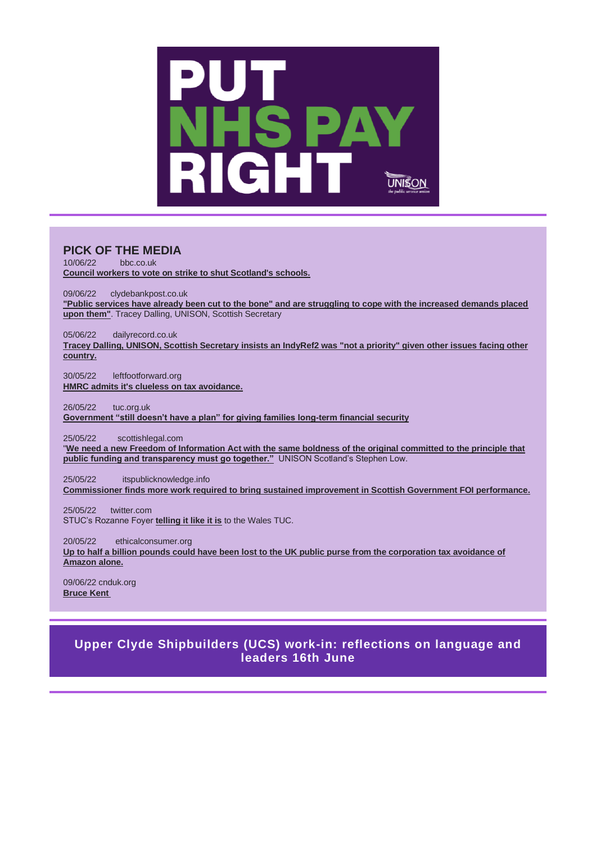

#### **PICK OF THE MEDIA**

10/06/22 bbc.co.uk **[Council workers to vote on strike to shut Scotland's schools.](https://www.bbc.co.uk/news/uk-scotland-61752869)**

09/06/22 clydebankpost.co.uk **["Public services have already been cut to the bone" and are struggling to cope with the increased demands placed](https://www.clydebankpost.co.uk/news/20197435.council-bosses-demand-meeting-nicola-sturgeon-spending-plans/)  [upon them"](https://www.clydebankpost.co.uk/news/20197435.council-bosses-demand-meeting-nicola-sturgeon-spending-plans/)**. Tracey Dalling, UNISON, Scottish Secretary

05/06/22 dailyrecord.co.uk

**Tracey Dalling, UNISON, Scottish Secretary insists an IndyRef2 [was "not a priority" given other issues facing other](https://www.dailyrecord.co.uk/news/politics/scottish-independence-referendum-spending-not-27150568)  [country.](https://www.dailyrecord.co.uk/news/politics/scottish-independence-referendum-spending-not-27150568)**

30/05/22 leftfootforward.org **[HMRC admits it's clueless on tax avoidance.](https://leftfootforward.org/2022/05/uk-tax-authority-admits-its-clueless-about-how-much-tax-is-being-evaded-through-offshore-assets/?mc_cid=ad4dcfb390&mc_eid=e3db0eb2e7&doing_wp_cron=1654356134.8685340881347656250000)**

26/05/22 tuc.org.uk **[Government "still doesn't have a plan" for giving families long-term financial security](https://mandrillapp.com/track/click/31129022/www.tuc.org.uk?p=eyJzIjoiVkhjekVrUGt5cXpQUXk4VGZQR2ZPZHUybTBNIiwidiI6MSwicCI6IntcInVcIjozMTEyOTAyMixcInZcIjoxLFwidXJsXCI6XCJodHRwczpcXFwvXFxcL3d3dy50dWMub3JnLnVrXFxcL25ld3NcXFwvdHVjLWdvdmVybm1lbnQtc3RpbGwtZG9lc250LWhhdmUtcGxhbi1naXZpbmctZmFtaWxpZXMtbG9uZy10ZXJtLWZpbmFuY2lhbC1zZWN1cml0eT9tYWlsdD0xMDYyQEdTMm5vWk02b1I3Z3M3aU1feEs0VUYtd2NpbE5kRjFkTDhMUDhlS2VKMFFAMzkwMTU2XCIsXCJpZFwiOlwiYTk0ZDc3MGQ0NDIzNGVhZDg2MTQ2MjE1YTJiZTBhNThcIixcInVybF9pZHNcIjpbXCI5NzNmZWQyZDY1MTg0YWIzMmUzZjYyYTU4ZjRhMDAwZWYxMTFjYWQ0XCJdfSJ9)**

25/05/22 scottishlegal.com

"**[We need a new Freedom of Information Act with the same boldness of the original committed to the principle that](https://www.scottishlegal.com/articles/calls-for-reform-of-decrepit-foi-regime)  [public funding and transparency must go together."](https://www.scottishlegal.com/articles/calls-for-reform-of-decrepit-foi-regime)** UNISON Scotland's Stephen Low.

25/05/22 itspublicknowledge.info

**[Commissioner finds more work required to bring sustained improvement in Scottish Government FOI performance.](https://www.itspublicknowledge.info/scottish-government-intervention-progress-report-published)**

25/05/22 twitter.com STUC's Rozanne Foyer **[telling it like it is](https://twitter.com/walestuc/status/1529499170775699456)** to the Wales TUC.

20/05/22 ethicalconsumer.org

**[Up to half a billion pounds could have been lost to the UK public purse from the corporation tax avoidance of](https://www.ethicalconsumer.org/ethicalcampaigns/boycott-amazon?utm_source=ECRA+Monthly+Newsletter&utm_campaign=f73b6259e3-EMAIL_CAMPAIGN_2022_05_27+subs&utm_medium=email&utm_term=0_9856040c29-f73b6259e3-290154597)  [Amazon alone.](https://www.ethicalconsumer.org/ethicalcampaigns/boycott-amazon?utm_source=ECRA+Monthly+Newsletter&utm_campaign=f73b6259e3-EMAIL_CAMPAIGN_2022_05_27+subs&utm_medium=email&utm_term=0_9856040c29-f73b6259e3-290154597)**

09/06/22 cnduk.org **[Bruce Kent](https://cnduk.org/how-bruce-kent-led-cnd-in-the-80s/)**

# **[Upper Clyde Shipbuilders \(UCS\) work-in: reflections on language and](https://www.eventbrite.co.uk/e/upper-clyde-shipbuilders-ucs-work-in-reflections-on-language-and-leaders-tickets-334577960687)  [leaders 16th June](https://www.eventbrite.co.uk/e/upper-clyde-shipbuilders-ucs-work-in-reflections-on-language-and-leaders-tickets-334577960687)**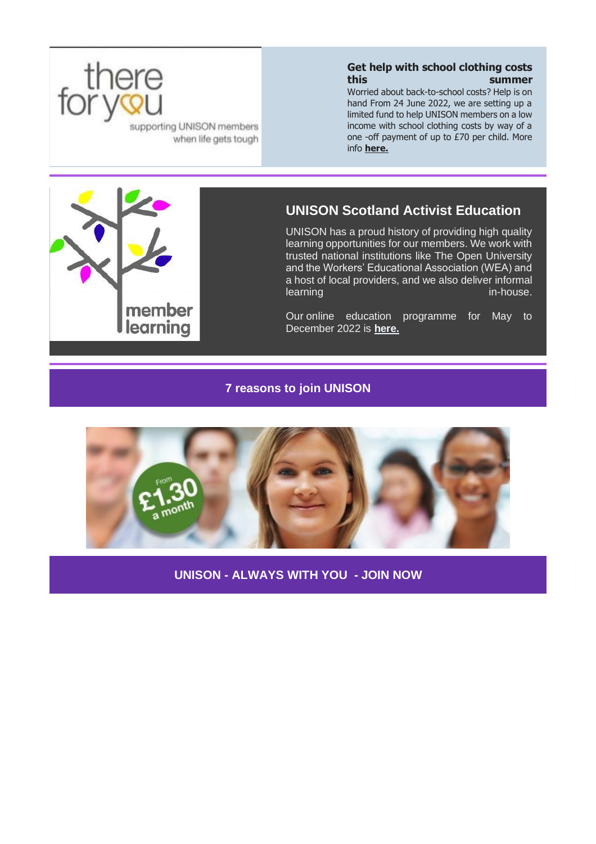

**Get help with school clothing costs this summer**

Worried about back-to-school costs? Help is on hand From 24 June 2022, we are setting up a limited fund to help UNISON members on a low income with school clothing costs by way of a one -off payment of up to £70 per child. More info **[here.](http://unison.org.uk/thereforyou)**

supporting UNISON members when life gets tough



# **UNISON Scotland Activist Education**

UNISON has a proud history of providing high quality learning opportunities for our members. We work with trusted national institutions like The Open University and the Workers' Educational Association (WEA) and a host of local providers, and we also deliver informal learning in-house.

Our online education programme for May to December 2022 is **[here.](https://unison-scotland.org/learning/)**

#### **[7 reasons to join UNISON](https://join.unison.org.uk/)**



**UNISON - [ALWAYS WITH YOU](https://join.unison.org.uk/) - JOIN NOW**